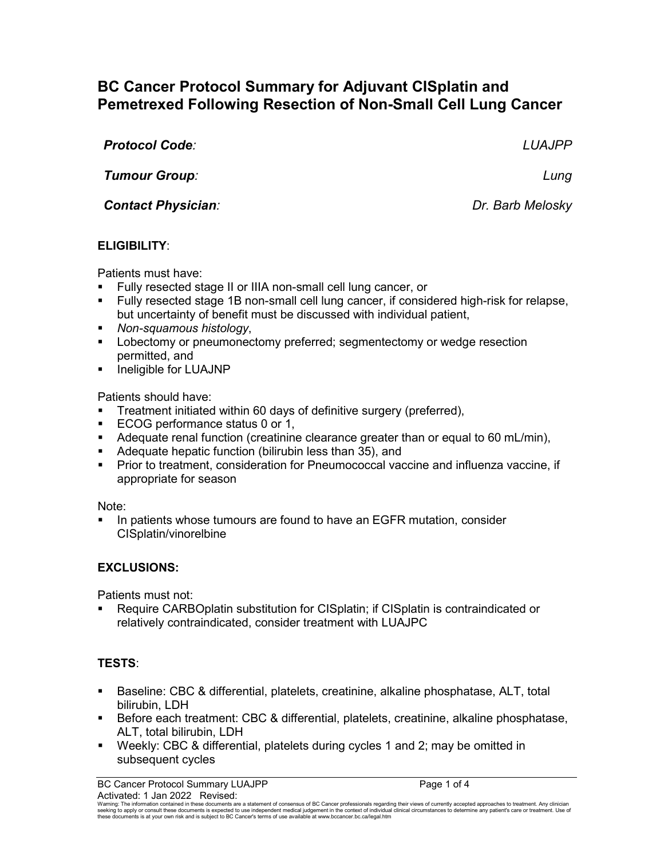# **BC Cancer Protocol Summary for Adjuvant CISplatin and Pemetrexed Following Resection of Non-Small Cell Lung Cancer**

| <b>Protocol Code:</b>     | <b>LUAJPP</b>    |
|---------------------------|------------------|
| Tumour Group:             | Lung             |
| <b>Contact Physician:</b> | Dr. Barb Melosky |
|                           |                  |

# **ELIGIBILITY**:

Patients must have:

- Fully resected stage II or IIIA non-small cell lung cancer, or
- Fully resected stage 1B non-small cell lung cancer, if considered high-risk for relapse, but uncertainty of benefit must be discussed with individual patient,
- *Non-squamous histology*,
- **Lobectomy or pneumonectomy preferred; segmentectomy or wedge resection** permitted, and
- **Ineligible for LUAJNP**

Patients should have:

- Treatment initiated within 60 days of definitive surgery (preferred),
- **ECOG performance status 0 or 1,**
- Adequate renal function (creatinine clearance greater than or equal to 60 mL/min),
- Adequate hepatic function (bilirubin less than 35), and
- **Prior to treatment, consideration for Pneumococcal vaccine and influenza vaccine, if** appropriate for season

## Note:

**IF** In patients whose tumours are found to have an EGFR mutation, consider CISplatin/vinorelbine

# **EXCLUSIONS:**

Patients must not:

 Require CARBOplatin substitution for CISplatin; if CISplatin is contraindicated or relatively contraindicated, consider treatment with LUAJPC

# **TESTS**:

- Baseline: CBC & differential, platelets, creatinine, alkaline phosphatase, ALT, total bilirubin, LDH
- Before each treatment: CBC & differential, platelets, creatinine, alkaline phosphatase, ALT, total bilirubin, LDH
- Weekly: CBC & differential, platelets during cycles 1 and 2; may be omitted in subsequent cycles

BC Cancer Protocol Summary LUAJPP **Page 1 of 4** Page 1 of 4 Activated: 1 Jan 2022 Revised:

Warning: The information contained in these documents are a statement of consensus of BC Cancer professionals regarding their views of currently accepted approaches to treatment. Any clinician<br>seeking to apply or consult t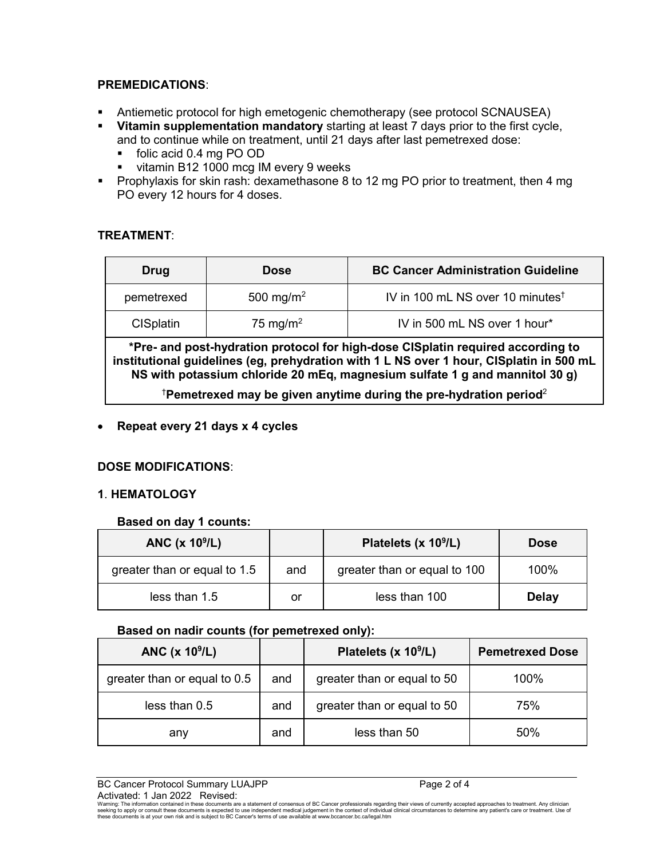## **PREMEDICATIONS**:

- Antiemetic protocol for high emetogenic chemotherapy (see protocol SCNAUSEA)
- **Vitamin supplementation mandatory** starting at least 7 days prior to the first cycle, and to continue while on treatment, until 21 days after last pemetrexed dose:
	- folic acid 0.4 mg PO OD
	- vitamin B12 1000 mcg IM every 9 weeks
- **Prophylaxis for skin rash: dexamethasone 8 to 12 mg PO prior to treatment, then 4 mg** PO every 12 hours for 4 doses.

## **TREATMENT**:

| <b>Drug</b>      | <b>Dose</b>           | <b>BC Cancer Administration Guideline</b>    |
|------------------|-----------------------|----------------------------------------------|
| pemetrexed       | 500 mg/m <sup>2</sup> | IV in 100 mL NS over 10 minutes <sup>†</sup> |
| <b>CISplatin</b> | 75 mg/m <sup>2</sup>  | IV in 500 mL NS over 1 hour*                 |

**\*Pre- and post-hydration protocol for high-dose CISplatin required according to institutional guidelines (eg, prehydration with 1 L NS over 1 hour, CISplatin in 500 mL NS with potassium chloride 20 mEq, magnesium sulfate 1 g and mannitol 30 g)**

 $^\dagger$ Pemetrexed may be given anytime during the pre-hydration period $^2$ 

• **Repeat every 21 days x 4 cycles** 

## **DOSE MODIFICATIONS**:

## **1**. **HEMATOLOGY**

## **Based on day 1 counts:**

| ANC $(x 10^9/L)$             |     | Platelets (x $10^9$ /L)      | <b>Dose</b>  |
|------------------------------|-----|------------------------------|--------------|
| greater than or equal to 1.5 | and | greater than or equal to 100 | 100%         |
| less than 1.5                | or  | less than 100                | <b>Delay</b> |

#### **Based on nadir counts (for pemetrexed only):**

| ANC $(x 10^9/L)$             |     | Platelets (x $10^9$ /L)     | <b>Pemetrexed Dose</b> |
|------------------------------|-----|-----------------------------|------------------------|
| greater than or equal to 0.5 | and | greater than or equal to 50 | 100%                   |
| less than 0.5                | and | greater than or equal to 50 | 75%                    |
| any                          | and | less than 50                | 50%                    |

BC Cancer Protocol Summary LUAJPP Page 2 of 4 Activated: 1 Jan 2022 Revised:

Warning: The information contained in these documents are a statement of consensus of BC Cancer professionals regarding their views of currently accepted approaches to treatment. Any clinician<br>seeking to apply or consult t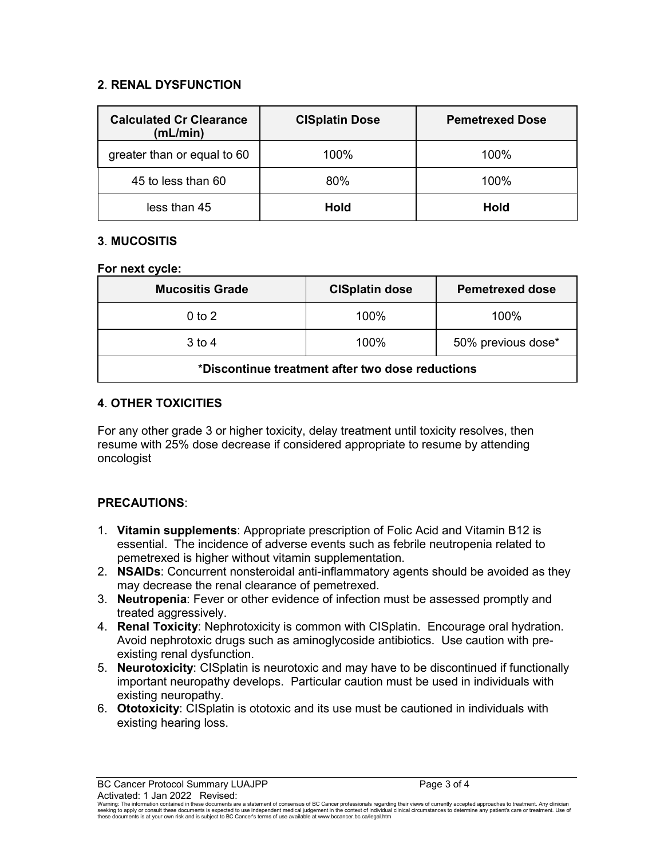## **2**. **RENAL DYSFUNCTION**

| <b>Calculated Cr Clearance</b><br>(mL/min) | <b>CISplatin Dose</b> | <b>Pemetrexed Dose</b> |
|--------------------------------------------|-----------------------|------------------------|
| greater than or equal to 60                | 100%                  | 100%                   |
| 45 to less than 60                         | 80%                   | $100\%$                |
| less than 45                               | <b>Hold</b>           | <b>Hold</b>            |

## **3**. **MUCOSITIS**

#### **For next cycle:**

| <b>Mucositis Grade</b>                           | <b>CISplatin dose</b> | <b>Pemetrexed dose</b> |
|--------------------------------------------------|-----------------------|------------------------|
| $0$ to $2$                                       | 100%                  | $100\%$                |
| $3$ to 4                                         | 100%                  | 50% previous dose*     |
| *Discontinue treatment after two dose reductions |                       |                        |

## **4**. **OTHER TOXICITIES**

For any other grade 3 or higher toxicity, delay treatment until toxicity resolves, then resume with 25% dose decrease if considered appropriate to resume by attending oncologist

# **PRECAUTIONS**:

- 1. **Vitamin supplements**: Appropriate prescription of Folic Acid and Vitamin B12 is essential. The incidence of adverse events such as febrile neutropenia related to pemetrexed is higher without vitamin supplementation.
- 2. **NSAIDs**: Concurrent nonsteroidal anti-inflammatory agents should be avoided as they may decrease the renal clearance of pemetrexed.
- 3. **Neutropenia**: Fever or other evidence of infection must be assessed promptly and treated aggressively.
- 4. **Renal Toxicity**: Nephrotoxicity is common with CISplatin. Encourage oral hydration. Avoid nephrotoxic drugs such as aminoglycoside antibiotics. Use caution with preexisting renal dysfunction.
- 5. **Neurotoxicity**: CISplatin is neurotoxic and may have to be discontinued if functionally important neuropathy develops. Particular caution must be used in individuals with existing neuropathy.
- 6. **Ototoxicity**: CISplatin is ototoxic and its use must be cautioned in individuals with existing hearing loss.

BC Cancer Protocol Summary LUAJPP **Page 3 of 4** and 2 of 4 Activated: 1 Jan 2022 Revised: